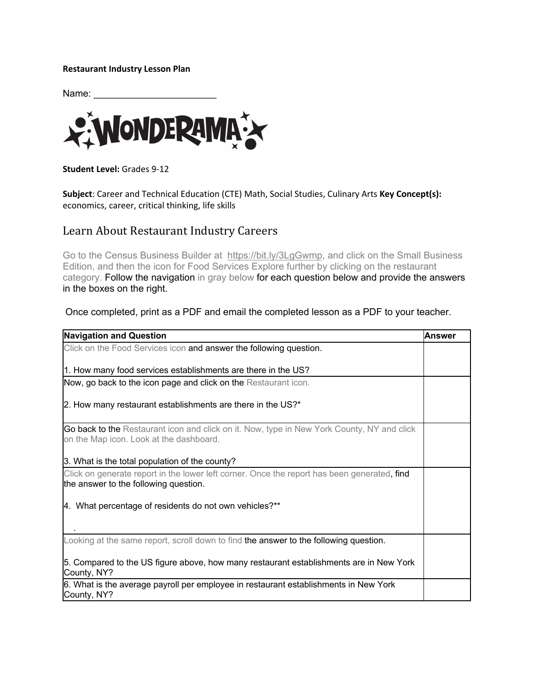## **Restaurant Industry Lesson Plan**

Name:



**Student Level:** Grades 9-12

**Subject**: Career and Technical Education (CTE) Math, Social Studies, Culinary Arts **Key Concept(s):**  economics, career, critical thinking, life skills

## Learn About Restaurant Industry Careers

Go to the Census Business Builder at https://bit.ly/3LgGwmp, and click on the Small Business Edition, and then the icon for Food Services Explore further by clicking on the restaurant category. Follow the navigation in gray below for each question below and provide the answers in the boxes on the right.

Once completed, print as a PDF and email the completed lesson as a PDF to your teacher.

| <b>Navigation and Question</b>                                                                                                       | lAnswer |
|--------------------------------------------------------------------------------------------------------------------------------------|---------|
| Click on the Food Services icon and answer the following question.                                                                   |         |
|                                                                                                                                      |         |
| 1. How many food services establishments are there in the US?                                                                        |         |
| Now, go back to the icon page and click on the Restaurant icon.                                                                      |         |
| 2. How many restaurant establishments are there in the US?*                                                                          |         |
| Go back to the Restaurant icon and click on it. Now, type in New York County, NY and click                                           |         |
| on the Map icon. Look at the dashboard.                                                                                              |         |
| 3. What is the total population of the county?                                                                                       |         |
| Click on generate report in the lower left corner. Once the report has been generated, find<br>the answer to the following question. |         |
| 4. What percentage of residents do not own vehicles?**                                                                               |         |
| Looking at the same report, scroll down to find the answer to the following question.                                                |         |
| 5. Compared to the US figure above, how many restaurant establishments are in New York<br>County, NY?                                |         |
| 6. What is the average payroll per employee in restaurant establishments in New York<br>County, NY?                                  |         |